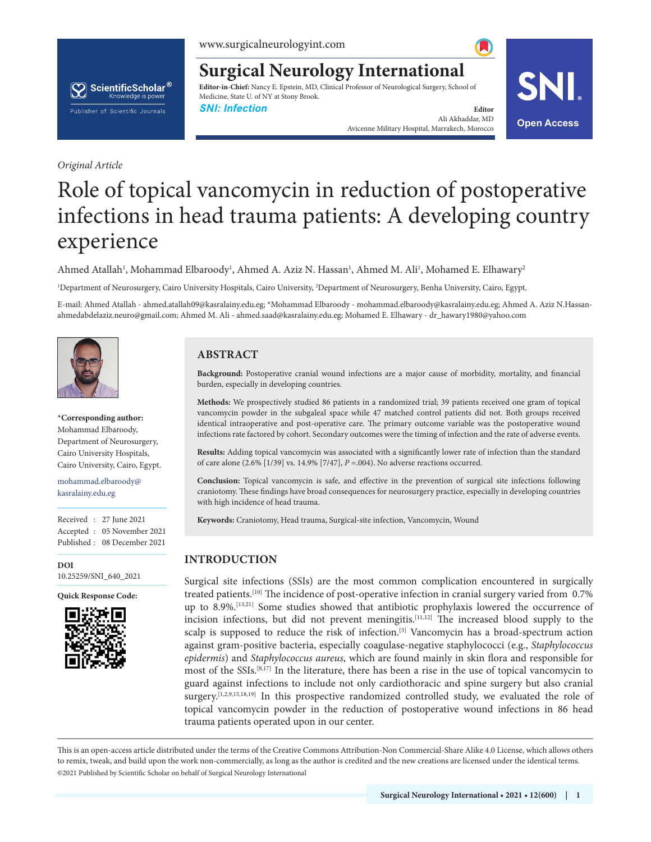www.surgicalneurologyint.com



**Surgical Neurology International**

**Editor-in-Chief:** Nancy E. Epstein, MD, Clinical Professor of Neurological Surgery, School of Medicine, State U. of NY at Stony Brook.

**SNI: Infection Editor Editor Editor Editor** 

*Original Article*

# Role of topical vancomycin in reduction of postoperative infections in head trauma patients: A developing country experience

Ahmed Atallah<sup>1</sup>, Mohammad Elbaroody<sup>1</sup>, Ahmed A. Aziz N. Hassan<sup>1</sup>, Ahmed M. Ali<sup>1</sup>, Mohamed E. Elhawary<sup>2</sup>

1 Department of Neurosurgery, Cairo University Hospitals, Cairo University, 2 Department of Neurosurgery, Benha University, Cairo, Egypt.

E-mail: Ahmed Atallah - ahmed.atallah09@kasralainy.edu.eg; \*Mohammad Elbaroody - mohammad.elbaroody@kasralainy.edu.eg; Ahmed A. Aziz N.Hassanahmedabdelaziz.neuro@gmail.com; Ahmed M. Ali - ahmed.saad@kasralainy.edu.eg; Mohamed E. Elhawary - dr\_hawary1980@yahoo.com



**\*Corresponding author:** Mohammad Elbaroody, Department of Neurosurgery, Cairo University Hospitals, Cairo University, Cairo, Egypt.

mohammad.elbaroody@ kasralainy.edu.eg

Received : 27 June 2021 Accepted : 05 November 2021 Published : 08 December 2021

**DOI** 10.25259/SNI\_640\_2021

**Quick Response Code:**



**ABSTRACT**

**Background:** Postoperative cranial wound infections are a major cause of morbidity, mortality, and financial burden, especially in developing countries.

Ali Akhaddar, MD Avicenne Military Hospital, Marrakech, Morocco **Open Access**

SNII

**Methods:** We prospectively studied 86 patients in a randomized trial; 39 patients received one gram of topical vancomycin powder in the subgaleal space while 47 matched control patients did not. Both groups received identical intraoperative and post-operative care. The primary outcome variable was the postoperative wound infections rate factored by cohort. Secondary outcomes were the timing of infection and the rate of adverse events.

**Results:** Adding topical vancomycin was associated with a significantly lower rate of infection than the standard of care alone (2.6% [1/39] vs. 14.9% [7/47], *P* =.004). No adverse reactions occurred.

**Conclusion:** Topical vancomycin is safe, and effective in the prevention of surgical site infections following craniotomy. These findings have broad consequences for neurosurgery practice, especially in developing countries with high incidence of head trauma.

**Keywords:** Craniotomy, Head trauma, Surgical-site infection, Vancomycin, Wound

# **INTRODUCTION**

Surgical site infections (SSIs) are the most common complication encountered in surgically treated patients.<sup>[10]</sup> The incidence of post-operative infection in cranial surgery varied from 0.7% up to 8.9%.[13,21] Some studies showed that antibiotic prophylaxis lowered the occurrence of incision infections, but did not prevent meningitis.[11,12] The increased blood supply to the scalp is supposed to reduce the risk of infection.<sup>[3]</sup> Vancomycin has a broad-spectrum action against gram-positive bacteria, especially coagulase-negative staphylococci (e.g., *Staphylococcus epidermis*) and *Staphylococcus aureus*, which are found mainly in skin flora and responsible for most of the SSIs.[8,17] In the literature, there has been a rise in the use of topical vancomycin to guard against infections to include not only cardiothoracic and spine surgery but also cranial surgery.<sup>[1,2,9,15,18,19]</sup> In this prospective randomized controlled study, we evaluated the role of topical vancomycin powder in the reduction of postoperative wound infections in 86 head trauma patients operated upon in our center.

is is an open-access article distributed under the terms of the Creative Commons Attribution-Non Commercial-Share Alike 4.0 License, which allows others to remix, tweak, and build upon the work non-commercially, as long as the author is credited and the new creations are licensed under the identical terms. ©2021 Published by Scientific Scholar on behalf of Surgical Neurology International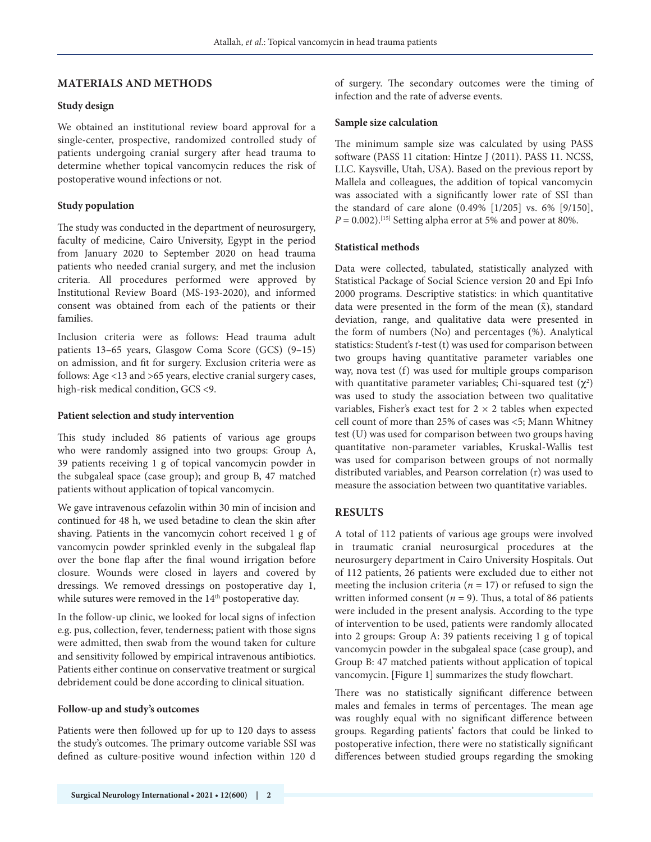# **MATERIALS AND METHODS**

#### **Study design**

We obtained an institutional review board approval for a single-center, prospective, randomized controlled study of patients undergoing cranial surgery after head trauma to determine whether topical vancomycin reduces the risk of postoperative wound infections or not.

#### **Study population**

The study was conducted in the department of neurosurgery, faculty of medicine, Cairo University, Egypt in the period from January 2020 to September 2020 on head trauma patients who needed cranial surgery, and met the inclusion criteria. All procedures performed were approved by Institutional Review Board (MS-193-2020), and informed consent was obtained from each of the patients or their families.

Inclusion criteria were as follows: Head trauma adult patients 13–65 years, Glasgow Coma Score (GCS) (9–15) on admission, and fit for surgery. Exclusion criteria were as follows: Age <13 and >65 years, elective cranial surgery cases, high-risk medical condition, GCS <9.

#### **Patient selection and study intervention**

This study included 86 patients of various age groups who were randomly assigned into two groups: Group A, 39 patients receiving 1 g of topical vancomycin powder in the subgaleal space (case group); and group B, 47 matched patients without application of topical vancomycin.

We gave intravenous cefazolin within 30 min of incision and continued for 48 h, we used betadine to clean the skin after shaving. Patients in the vancomycin cohort received 1 g of vancomycin powder sprinkled evenly in the subgaleal flap over the bone flap after the final wound irrigation before closure. Wounds were closed in layers and covered by dressings. We removed dressings on postoperative day 1, while sutures were removed in the 14<sup>th</sup> postoperative day.

In the follow-up clinic, we looked for local signs of infection e.g. pus, collection, fever, tenderness; patient with those signs were admitted, then swab from the wound taken for culture and sensitivity followed by empirical intravenous antibiotics. Patients either continue on conservative treatment or surgical debridement could be done according to clinical situation.

#### **Follow-up and study's outcomes**

Patients were then followed up for up to 120 days to assess the study's outcomes. The primary outcome variable SSI was defined as culture-positive wound infection within 120 d of surgery. The secondary outcomes were the timing of infection and the rate of adverse events.

#### **Sample size calculation**

The minimum sample size was calculated by using PASS software (PASS 11 citation: Hintze J (2011). PASS 11. NCSS, LLC. Kaysville, Utah, USA). Based on the previous report by Mallela and colleagues, the addition of topical vancomycin was associated with a significantly lower rate of SSI than the standard of care alone (0.49% [1/205] vs. 6% [9/150],  $P = 0.002$ .<sup>[15]</sup> Setting alpha error at 5% and power at 80%.

#### **Statistical methods**

Data were collected, tabulated, statistically analyzed with Statistical Package of Social Science version 20 and Epi Info 2000 programs. Descriptive statistics: in which quantitative data were presented in the form of the mean  $(\bar{x})$ , standard deviation, range, and qualitative data were presented in the form of numbers (No) and percentages (%). Analytical statistics: Student's *t*-test (t) was used for comparison between two groups having quantitative parameter variables one way, nova test (f) was used for multiple groups comparison with quantitative parameter variables; Chi-squared test  $(\chi^2)$ was used to study the association between two qualitative variables, Fisher's exact test for  $2 \times 2$  tables when expected cell count of more than 25% of cases was <5; Mann Whitney test (U) was used for comparison between two groups having quantitative non-parameter variables, Kruskal-Wallis test was used for comparison between groups of not normally distributed variables, and Pearson correlation (r) was used to measure the association between two quantitative variables.

#### **RESULTS**

A total of 112 patients of various age groups were involved in traumatic cranial neurosurgical procedures at the neurosurgery department in Cairo University Hospitals. Out of 112 patients, 26 patients were excluded due to either not meeting the inclusion criteria ( $n = 17$ ) or refused to sign the written informed consent ( $n = 9$ ). Thus, a total of 86 patients were included in the present analysis. According to the type of intervention to be used, patients were randomly allocated into 2 groups: Group A: 39 patients receiving 1 g of topical vancomycin powder in the subgaleal space (case group), and Group B: 47 matched patients without application of topical vancomycin. [Figure 1] summarizes the study flowchart.

There was no statistically significant difference between males and females in terms of percentages. The mean age was roughly equal with no significant difference between groups. Regarding patients' factors that could be linked to postoperative infection, there were no statistically significant differences between studied groups regarding the smoking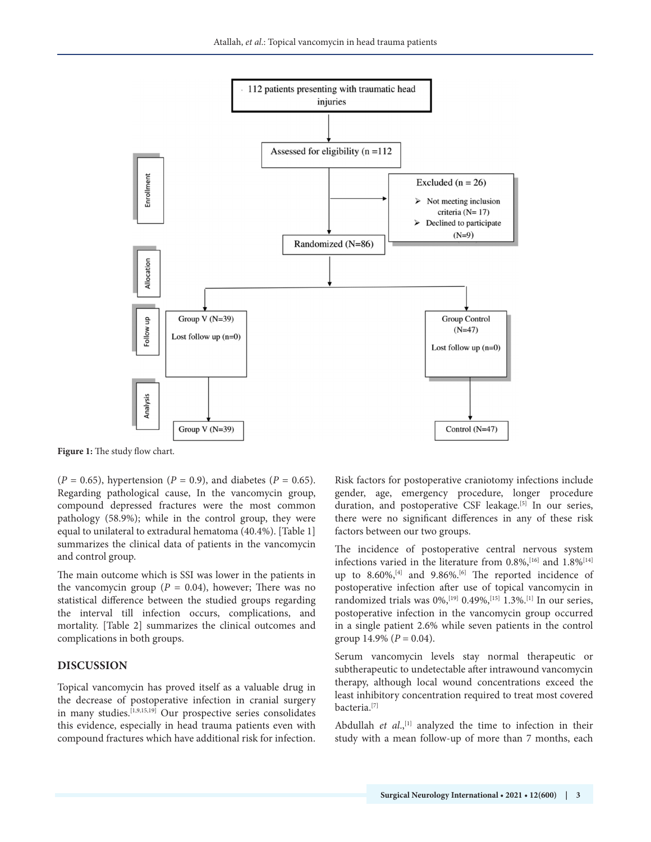

**Figure 1:** The study flow chart.

 $(P = 0.65)$ , hypertension  $(P = 0.9)$ , and diabetes  $(P = 0.65)$ . Regarding pathological cause, In the vancomycin group, compound depressed fractures were the most common pathology (58.9%); while in the control group, they were equal to unilateral to extradural hematoma (40.4%). [Table 1] summarizes the clinical data of patients in the vancomycin and control group.

The main outcome which is SSI was lower in the patients in the vancomycin group ( $P = 0.04$ ), however; There was no statistical difference between the studied groups regarding the interval till infection occurs, complications, and mortality. [Table 2] summarizes the clinical outcomes and complications in both groups.

# **DISCUSSION**

Topical vancomycin has proved itself as a valuable drug in the decrease of postoperative infection in cranial surgery in many studies.[1,9,15,19] Our prospective series consolidates this evidence, especially in head trauma patients even with compound fractures which have additional risk for infection. Risk factors for postoperative craniotomy infections include gender, age, emergency procedure, longer procedure duration, and postoperative CSF leakage.<sup>[5]</sup> In our series, there were no significant differences in any of these risk factors between our two groups.

The incidence of postoperative central nervous system infections varied in the literature from 0.8%,<sup>[16]</sup> and 1.8%<sup>[14]</sup> up to  $8.60\%$ , <sup>[4]</sup> and  $9.86\%$ . <sup>[6]</sup> The reported incidence of postoperative infection after use of topical vancomycin in randomized trials was  $0\%,$ <sup>[19]</sup>  $0.49\%,$ <sup>[15]</sup> 1.3%.<sup>[1]</sup> In our series, postoperative infection in the vancomycin group occurred in a single patient 2.6% while seven patients in the control group  $14.9\%$  ( $P = 0.04$ ).

Serum vancomycin levels stay normal therapeutic or subtherapeutic to undetectable after intrawound vancomycin therapy, although local wound concentrations exceed the least inhibitory concentration required to treat most covered bacteria.[7]

Abdullah *et al.*,<sup>[1]</sup> analyzed the time to infection in their study with a mean follow-up of more than 7 months, each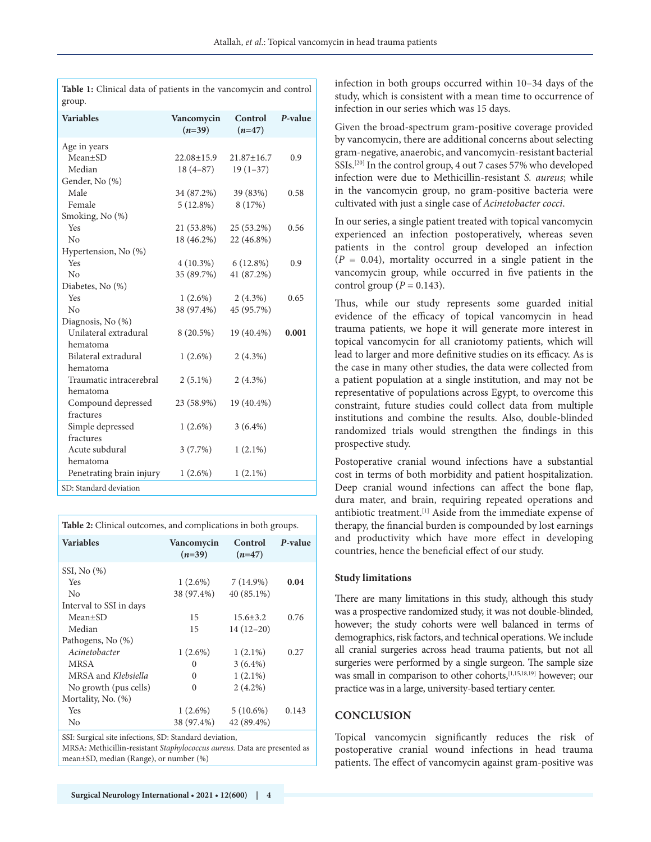| group.                        |                        |                     |         |
|-------------------------------|------------------------|---------------------|---------|
| <b>Variables</b>              | Vancomycin<br>$(n=39)$ | Control<br>$(n=47)$ | P-value |
| Age in years<br>$Mean \pm SD$ | $22.08 \pm 15.9$       | $21.87 \pm 16.7$    | 0.9     |
| Median                        | $18(4-87)$             | $19(1-37)$          |         |
| Gender, No (%)                |                        |                     |         |
| Male                          | 34 (87.2%)             | 39 (83%)            | 0.58    |
| Female                        | $5(12.8\%)$            | 8 (17%)             |         |
| Smoking, No (%)               |                        |                     |         |
| Yes                           | 21 (53.8%)             | 25 (53.2%)          | 0.56    |
| No                            | 18 (46.2%)             | 22 (46.8%)          |         |
| Hypertension, No (%)          |                        |                     |         |
| Yes                           | $4(10.3\%)$            | $6(12.8\%)$         | 0.9     |
| $\overline{N}$                | 35 (89.7%)             | 41 (87.2%)          |         |
| Diabetes, No (%)              |                        |                     |         |
| Yes                           | $1(2.6\%)$             | $2(4.3\%)$          | 0.65    |
| No                            | 38 (97.4%)             | 45 (95.7%)          |         |
| Diagnosis, No (%)             |                        |                     |         |
| Unilateral extradural         | $8(20.5\%)$            | 19 (40.4%)          | 0.001   |
| hematoma                      |                        |                     |         |
| Bilateral extradural          | $1(2.6\%)$             | $2(4.3\%)$          |         |
| hematoma                      |                        |                     |         |
| Traumatic intracerebral       | $2(5.1\%)$             | $2(4.3\%)$          |         |
| hematoma                      |                        |                     |         |
| Compound depressed            | 23 (58.9%)             | 19 (40.4%)          |         |
| fractures                     |                        |                     |         |
| Simple depressed              | $1(2.6\%)$             | $3(6.4\%)$          |         |
| fractures                     |                        |                     |         |
| Acute subdural                | $3(7.7\%)$             | $1(2.1\%)$          |         |
| hematoma                      |                        |                     |         |
| Penetrating brain injury      | $1(2.6\%)$             | $1(2.1\%)$          |         |
| SD: Standard deviation        |                        |                     |         |
|                               |                        |                     |         |

**Table 1:** Clinical data of patients in the vancomycin and control

**Table 2:** Clinical outcomes, and complications in both groups.

| <b>Variables</b>        | Vancomycin<br>$(n=39)$ | Control<br>$(n=47)$ | P-value |
|-------------------------|------------------------|---------------------|---------|
| SSI, No $(\%)$          |                        |                     |         |
| Yes                     | $1(2.6\%)$             | $7(14.9\%)$         | 0.04    |
| N <sub>0</sub>          | 38 (97.4%)             | $40(85.1\%)$        |         |
| Interval to SSI in days |                        |                     |         |
| Mean±SD                 | 15                     | $15.6 \pm 3.2$      | 0.76    |
| Median                  | 15                     | $14(12-20)$         |         |
| Pathogens, No (%)       |                        |                     |         |
| Acinetobacter           | $1(2.6\%)$             | $1(2.1\%)$          | 0.27    |
| <b>MRSA</b>             | 0                      | $3(6.4\%)$          |         |
| MRSA and Klebsiella     | 0                      | $1(2.1\%)$          |         |
| No growth (pus cells)   | 0                      | $2(4.2\%)$          |         |
| Mortality, No. (%)      |                        |                     |         |
| Yes                     | $1(2.6\%)$             | $5(10.6\%)$         | 0.143   |
| No                      | 38 (97.4%)             | 42 (89.4%)          |         |
|                         |                        |                     |         |

SSI: Surgical site infections, SD: Standard deviation,

MRSA: Methicillin-resistant *Staphylococcus aureus.* Data are presented as mean±SD, median (Range), or number (%)

infection in both groups occurred within 10–34 days of the study, which is consistent with a mean time to occurrence of infection in our series which was 15 days.

Given the broad-spectrum gram-positive coverage provided by vancomycin, there are additional concerns about selecting gram-negative, anaerobic, and vancomycin-resistant bacterial SSIs.[20] In the control group, 4 out 7 cases 57% who developed infection were due to Methicillin-resistant *S. aureus*; while in the vancomycin group, no gram-positive bacteria were cultivated with just a single case of *Acinetobacter cocci*.

In our series, a single patient treated with topical vancomycin experienced an infection postoperatively, whereas seven patients in the control group developed an infection  $(P = 0.04)$ , mortality occurred in a single patient in the vancomycin group, while occurred in five patients in the control group  $(P = 0.143)$ .

Thus, while our study represents some guarded initial evidence of the efficacy of topical vancomycin in head trauma patients, we hope it will generate more interest in topical vancomycin for all craniotomy patients, which will lead to larger and more definitive studies on its efficacy. As is the case in many other studies, the data were collected from a patient population at a single institution, and may not be representative of populations across Egypt, to overcome this constraint, future studies could collect data from multiple institutions and combine the results. Also, double-blinded randomized trials would strengthen the findings in this prospective study.

Postoperative cranial wound infections have a substantial cost in terms of both morbidity and patient hospitalization. Deep cranial wound infections can affect the bone flap, dura mater, and brain, requiring repeated operations and antibiotic treatment.[1] Aside from the immediate expense of therapy, the financial burden is compounded by lost earnings and productivity which have more effect in developing countries, hence the beneficial effect of our study.

#### **Study limitations**

There are many limitations in this study, although this study was a prospective randomized study, it was not double-blinded, however; the study cohorts were well balanced in terms of demographics, risk factors, and technical operations. We include all cranial surgeries across head trauma patients, but not all surgeries were performed by a single surgeon. The sample size was small in comparison to other cohorts, [1,15,18,19] however; our practice was in a large, university-based tertiary center.

# **CONCLUSION**

Topical vancomycin significantly reduces the risk of postoperative cranial wound infections in head trauma patients. The effect of vancomycin against gram-positive was